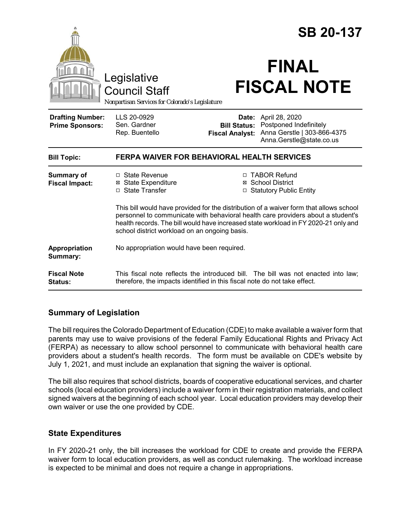|                                                   |                                                                                                                                                                                                                                                                                                                    |                                                        | <b>SB 20-137</b>                                                                                    |  |
|---------------------------------------------------|--------------------------------------------------------------------------------------------------------------------------------------------------------------------------------------------------------------------------------------------------------------------------------------------------------------------|--------------------------------------------------------|-----------------------------------------------------------------------------------------------------|--|
|                                                   | Legislative<br><b>Council Staff</b><br>Nonpartisan Services for Colorado's Legislature                                                                                                                                                                                                                             |                                                        | <b>FINAL</b><br><b>FISCAL NOTE</b>                                                                  |  |
| <b>Drafting Number:</b><br><b>Prime Sponsors:</b> | LLS 20-0929<br>Sen. Gardner<br>Rep. Buentello                                                                                                                                                                                                                                                                      | Date:<br><b>Bill Status:</b><br><b>Fiscal Analyst:</b> | April 28, 2020<br>Postponed Indefinitely<br>Anna Gerstle   303-866-4375<br>Anna.Gerstle@state.co.us |  |
| <b>Bill Topic:</b>                                | <b>FERPA WAIVER FOR BEHAVIORAL HEALTH SERVICES</b>                                                                                                                                                                                                                                                                 |                                                        |                                                                                                     |  |
| <b>Summary of</b><br><b>Fiscal Impact:</b>        | $\Box$ State Revenue<br><b>⊠ State Expenditure</b><br>□ State Transfer                                                                                                                                                                                                                                             |                                                        | □ TABOR Refund<br>⊠ School District<br>□ Statutory Public Entity                                    |  |
|                                                   | This bill would have provided for the distribution of a waiver form that allows school<br>personnel to communicate with behavioral health care providers about a student's<br>health records. The bill would have increased state workload in FY 2020-21 only and<br>school district workload on an ongoing basis. |                                                        |                                                                                                     |  |
| Appropriation<br>Summary:                         | No appropriation would have been required.                                                                                                                                                                                                                                                                         |                                                        |                                                                                                     |  |
| <b>Fiscal Note</b><br>Status:                     | This fiscal note reflects the introduced bill. The bill was not enacted into law;<br>therefore, the impacts identified in this fiscal note do not take effect.                                                                                                                                                     |                                                        |                                                                                                     |  |

## **Summary of Legislation**

The bill requires the Colorado Department of Education (CDE) to make available a waiver form that parents may use to waive provisions of the federal Family Educational Rights and Privacy Act (FERPA) as necessary to allow school personnel to communicate with behavioral health care providers about a student's health records. The form must be available on CDE's website by July 1, 2021, and must include an explanation that signing the waiver is optional.

The bill also requires that school districts, boards of cooperative educational services, and charter schools (local education providers) include a waiver form in their registration materials, and collect signed waivers at the beginning of each school year. Local education providers may develop their own waiver or use the one provided by CDE.

## **State Expenditures**

In FY 2020-21 only, the bill increases the workload for CDE to create and provide the FERPA waiver form to local education providers, as well as conduct rulemaking. The workload increase is expected to be minimal and does not require a change in appropriations.